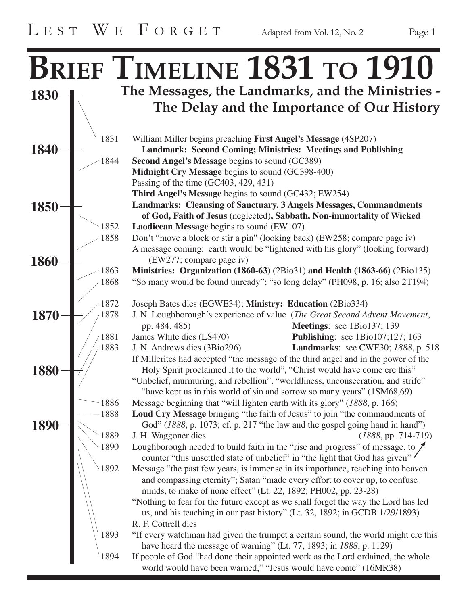